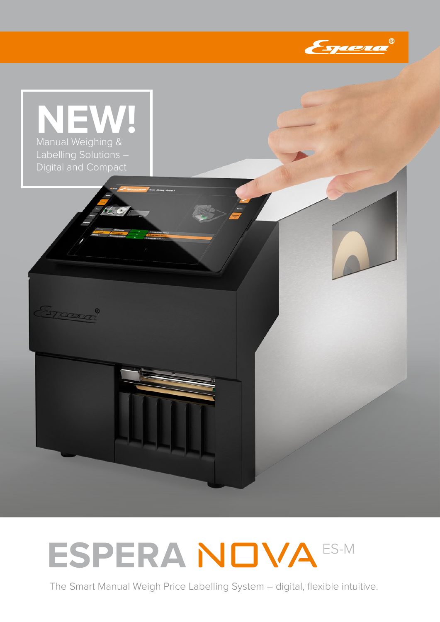

# ESPERA NOVA<sup>ES-M</sup>

The Smart Manual Weigh Price Labelling System – digital, flexible intuitive.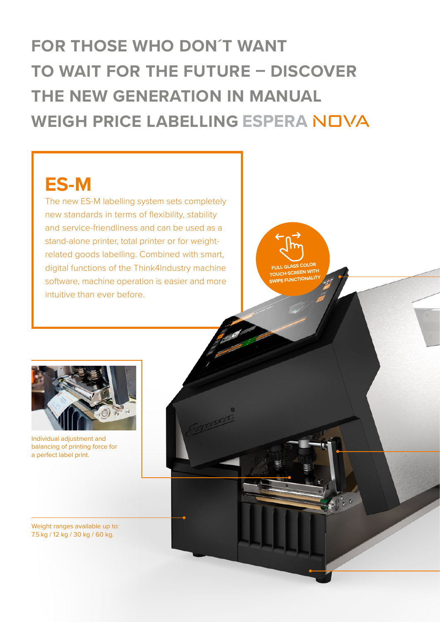# **FOR THOSE WHO DON´T WANT TO WAIT FOR THE FUTURE – DISCOVER THE NEW GENERATION IN MANUAL WEIGH PRICE LABELLING ESPERA NOVA**

Trad

## **ES-M**

The new ES-M labelling system sets completely new standards in terms of flexibility, stability and service-friendliness and can be used as a stand-alone printer, total printer or for weightrelated goods labelling. Combined with smart, digital functions of the Think4Industry machine software, machine operation is easier and more intuitive than ever before.

**FULL GLASS COLOR TOUCH-SCREEN WITH SWIPE FUNCTIONALIT** 



Individual adjustment and balancing of printing force for a perfect label print.

Weight ranges available up to: 7.5 kg / 12 kg / 30 kg / 60 kg.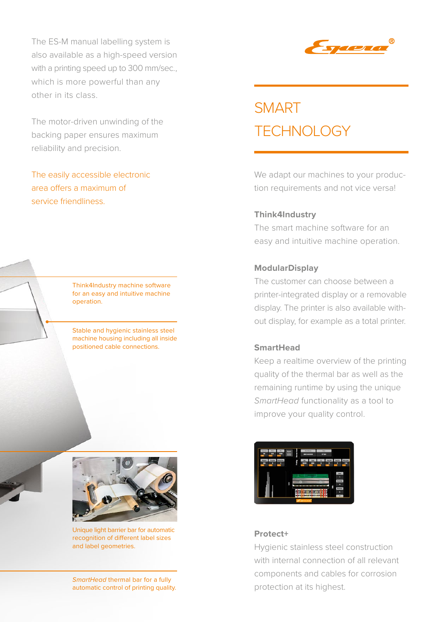The ES-M manual labelling system is also available as a high-speed version with a printing speed up to 300 mm/sec., which is more powerful than any other in its class.

The motor-driven unwinding of the backing paper ensures maximum reliability and precision.

The easily accessible electronic area offers a maximum of service friendliness.



Stable and hygienic stainless steel machine housing including all inside positioned cable connections.



Unique light barrier bar for automatic recognition of different label sizes and label geometries.

*SmartHead* thermal bar for a fully automatic control of printing quality.



### **SMART TECHNOLOGY**

We adapt our machines to your production requirements and not vice versa!

#### **Think4Industry**

The smart machine software for an easy and intuitive machine operation.

#### **ModularDisplay**

The customer can choose between a printer-integrated display or a removable display. The printer is also available without display, for example as a total printer.

#### **SmartHead**

Keep a realtime overview of the printing quality of the thermal bar as well as the remaining runtime by using the unique *SmartHead* functionality as a tool to improve your quality control.



#### **Protect+**

Hygienic stainless steel construction with internal connection of all relevant components and cables for corrosion protection at its highest.